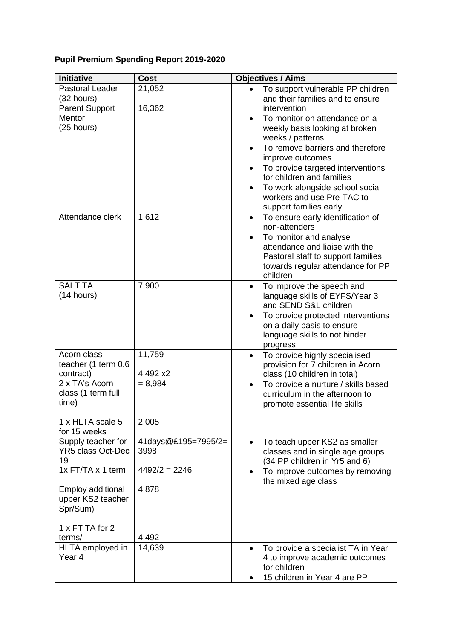## **Pupil Premium Spending Report 2019-2020**

| Initiative                                                                                                                                                         | <b>Cost</b>                                             | <b>Objectives / Aims</b>                                                                                                                                                                                                                                                                                                                           |
|--------------------------------------------------------------------------------------------------------------------------------------------------------------------|---------------------------------------------------------|----------------------------------------------------------------------------------------------------------------------------------------------------------------------------------------------------------------------------------------------------------------------------------------------------------------------------------------------------|
| <b>Pastoral Leader</b><br>(32 hours)                                                                                                                               | 21,052                                                  | To support vulnerable PP children<br>and their families and to ensure                                                                                                                                                                                                                                                                              |
| <b>Parent Support</b><br>Mentor<br>(25 hours)                                                                                                                      | 16,362                                                  | intervention<br>To monitor on attendance on a<br>$\bullet$<br>weekly basis looking at broken<br>weeks / patterns<br>To remove barriers and therefore<br>improve outcomes<br>To provide targeted interventions<br>for children and families<br>To work alongside school social<br>$\bullet$<br>workers and use Pre-TAC to<br>support families early |
| Attendance clerk                                                                                                                                                   | 1,612                                                   | To ensure early identification of<br>$\bullet$<br>non-attenders<br>To monitor and analyse<br>attendance and liaise with the<br>Pastoral staff to support families<br>towards regular attendance for PP<br>children                                                                                                                                 |
| <b>SALT TA</b><br>(14 hours)                                                                                                                                       | 7,900                                                   | To improve the speech and<br>$\bullet$<br>language skills of EYFS/Year 3<br>and SEND S&L children<br>To provide protected interventions<br>on a daily basis to ensure<br>language skills to not hinder<br>progress                                                                                                                                 |
| Acorn class<br>teacher (1 term 0.6<br>contract)<br>2 x TA's Acorn<br>class (1 term full<br>time)<br>1 x HLTA scale 5                                               | 11,759<br>4,492 x2<br>$= 8,984$<br>2,005                | To provide highly specialised<br>٠<br>provision for 7 children in Acorn<br>class (10 children in total)<br>To provide a nurture / skills based<br>curriculum in the afternoon to<br>promote essential life skills                                                                                                                                  |
| for 15 weeks<br>Supply teacher for<br><b>YR5 class Oct-Dec</b><br>19<br>1x FT/TA x 1 term<br>Employ additional<br>upper KS2 teacher<br>Spr/Sum)<br>1 x FT TA for 2 | 41days@£195=7995/2=<br>3998<br>$4492/2 = 2246$<br>4,878 | To teach upper KS2 as smaller<br>$\bullet$<br>classes and in single age groups<br>(34 PP children in Yr5 and 6)<br>To improve outcomes by removing<br>the mixed age class                                                                                                                                                                          |
| terms/<br>HLTA employed in<br>Year 4                                                                                                                               | 4,492<br>14,639                                         | To provide a specialist TA in Year<br>$\bullet$<br>4 to improve academic outcomes<br>for children<br>15 children in Year 4 are PP                                                                                                                                                                                                                  |